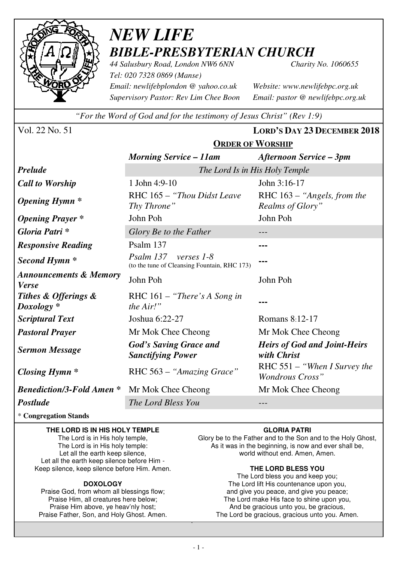

# *NEW LIFE BIBLE-PRESBYTERIAN CHURCH*

*44 Salusbury Road, London NW6 6NN Charity No. 1060655 Tel: 020 7328 0869 (Manse) Email: newlifebplondon @ yahoo.co.uk Website: www.newlifebpc.org.uk Supervisory Pastor: Rev Lim Chee Boon Email: pastor @ newlifebpc.org.uk* 

*"For the Word of God and for the testimony of Jesus Christ" (Rev 1:9)*

**ORDER OF WORSHIP**

Vol. 22 No. 51 **LORD'S DAY 23 DECEMBER 2018**

|                                                   | <u>JADLA OI 11 OADHII</u>                                                 |                                                          |  |
|---------------------------------------------------|---------------------------------------------------------------------------|----------------------------------------------------------|--|
|                                                   | <b>Morning Service – 11am</b>                                             | <b>Afternoon Service – 3pm</b>                           |  |
| <b>Prelude</b>                                    | The Lord Is in His Holy Temple                                            |                                                          |  |
| <b>Call to Worship</b>                            | 1 John 4:9-10                                                             | John 3:16-17                                             |  |
| <b>Opening Hymn</b> *                             | RHC 165 - "Thou Didst Leave"<br>Thy Throne"                               | RHC 163 - "Angels, from the<br>Realms of Glory"          |  |
| <b>Opening Prayer</b> *                           | John Poh                                                                  | John Poh                                                 |  |
| Gloria Patri*                                     | Glory Be to the Father                                                    | ---                                                      |  |
| <b>Responsive Reading</b>                         | Psalm 137                                                                 | ---                                                      |  |
| Second Hymn <sup>*</sup>                          | Psalm 137<br>verses $1-8$<br>(to the tune of Cleansing Fountain, RHC 173) |                                                          |  |
| <b>Announcements &amp; Memory</b><br><b>Verse</b> | John Poh                                                                  | John Poh                                                 |  |
| Tithes & Offerings &<br>$Doxology *$              | RHC $161 -$ "There's A Song in<br>the $Air!$ "                            |                                                          |  |
| <b>Scriptural Text</b>                            | Joshua 6:22-27                                                            | Romans 8:12-17                                           |  |
| <b>Pastoral Prayer</b>                            | Mr Mok Chee Cheong                                                        | Mr Mok Chee Cheong                                       |  |
| <b>Sermon Message</b>                             | <b>God's Saving Grace and</b><br><b>Sanctifying Power</b>                 | <b>Heirs of God and Joint-Heirs</b><br>with Christ       |  |
| Closing Hymn $*$                                  | RHC 563 – "Amazing Grace"                                                 | RHC $551 -$ "When I Survey the<br><b>Wondrous Cross"</b> |  |
| <b>Benediction/3-Fold Amen *</b>                  | Mr Mok Chee Cheong                                                        | Mr Mok Chee Cheong                                       |  |
| Postlude                                          | The Lord Bless You                                                        |                                                          |  |

\* **Congregation Stands** 

#### **THE LORD IS IN HIS HOLY TEMPLE**

The Lord is in His holy temple, The Lord is in His holy temple: Let all the earth keep silence, Let all the earth keep silence before Him - Keep silence, keep silence before Him. Amen.

#### **DOXOLOGY**

Praise God, from whom all blessings flow; Praise Him, all creatures here below; Praise Him above, ye heav'nly host; Praise Father, Son, and Holy Ghost. Amen.

#### **GLORIA PATRI**

Glory be to the Father and to the Son and to the Holy Ghost, As it was in the beginning, is now and ever shall be, world without end. Amen, Amen.

#### **THE LORD BLESS YOU**

The Lord bless you and keep you; The Lord lift His countenance upon you, and give you peace, and give you peace; The Lord make His face to shine upon you, And be gracious unto you, be gracious, The Lord be gracious, gracious unto you. Amen.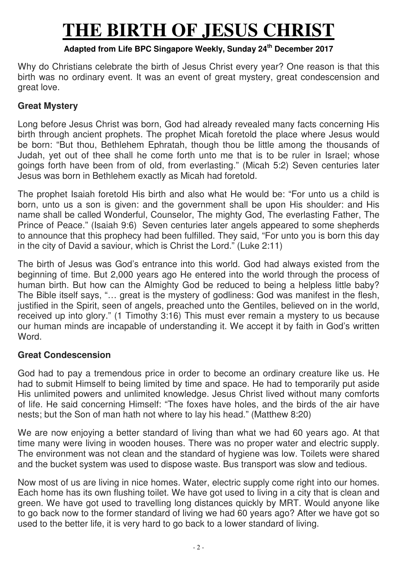# **THE BIRTH OF JESUS CHRIST**

## **Adapted from Life BPC Singapore Weekly, Sunday 24th December 2017**

Why do Christians celebrate the birth of Jesus Christ every year? One reason is that this birth was no ordinary event. It was an event of great mystery, great condescension and great love.

## **Great Mystery**

Long before Jesus Christ was born, God had already revealed many facts concerning His birth through ancient prophets. The prophet Micah foretold the place where Jesus would be born: "But thou, Bethlehem Ephratah, though thou be little among the thousands of Judah, yet out of thee shall he come forth unto me that is to be ruler in Israel; whose goings forth have been from of old, from everlasting." (Micah 5:2) Seven centuries later Jesus was born in Bethlehem exactly as Micah had foretold.

The prophet Isaiah foretold His birth and also what He would be: "For unto us a child is born, unto us a son is given: and the government shall be upon His shoulder: and His name shall be called Wonderful, Counselor, The mighty God, The everlasting Father, The Prince of Peace." (Isaiah 9:6) Seven centuries later angels appeared to some shepherds to announce that this prophecy had been fulfilled. They said, "For unto you is born this day in the city of David a saviour, which is Christ the Lord." (Luke 2:11)

The birth of Jesus was God's entrance into this world. God had always existed from the beginning of time. But 2,000 years ago He entered into the world through the process of human birth. But how can the Almighty God be reduced to being a helpless little baby? The Bible itself says, "… great is the mystery of godliness: God was manifest in the flesh, justified in the Spirit, seen of angels, preached unto the Gentiles, believed on in the world, received up into glory." (1 Timothy 3:16) This must ever remain a mystery to us because our human minds are incapable of understanding it. We accept it by faith in God's written Word.

## **Great Condescension**

God had to pay a tremendous price in order to become an ordinary creature like us. He had to submit Himself to being limited by time and space. He had to temporarily put aside His unlimited powers and unlimited knowledge. Jesus Christ lived without many comforts of life. He said concerning Himself: "The foxes have holes, and the birds of the air have nests; but the Son of man hath not where to lay his head." (Matthew 8:20)

We are now enjoying a better standard of living than what we had 60 years ago. At that time many were living in wooden houses. There was no proper water and electric supply. The environment was not clean and the standard of hygiene was low. Toilets were shared and the bucket system was used to dispose waste. Bus transport was slow and tedious.

Now most of us are living in nice homes. Water, electric supply come right into our homes. Each home has its own flushing toilet. We have got used to living in a city that is clean and green. We have got used to travelling long distances quickly by MRT. Would anyone like to go back now to the former standard of living we had 60 years ago? After we have got so used to the better life, it is very hard to go back to a lower standard of living.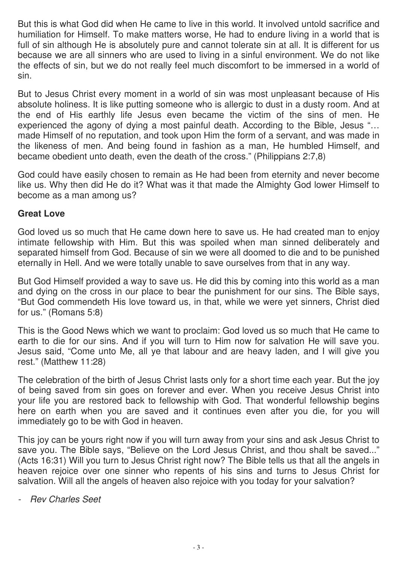But this is what God did when He came to live in this world. It involved untold sacrifice and humiliation for Himself. To make matters worse, He had to endure living in a world that is full of sin although He is absolutely pure and cannot tolerate sin at all. It is different for us because we are all sinners who are used to living in a sinful environment. We do not like the effects of sin, but we do not really feel much discomfort to be immersed in a world of sin.

But to Jesus Christ every moment in a world of sin was most unpleasant because of His absolute holiness. It is like putting someone who is allergic to dust in a dusty room. And at the end of His earthly life Jesus even became the victim of the sins of men. He experienced the agony of dying a most painful death. According to the Bible, Jesus "… made Himself of no reputation, and took upon Him the form of a servant, and was made in the likeness of men. And being found in fashion as a man, He humbled Himself, and became obedient unto death, even the death of the cross." (Philippians 2:7,8)

God could have easily chosen to remain as He had been from eternity and never become like us. Why then did He do it? What was it that made the Almighty God lower Himself to become as a man among us?

### **Great Love**

God loved us so much that He came down here to save us. He had created man to enjoy intimate fellowship with Him. But this was spoiled when man sinned deliberately and separated himself from God. Because of sin we were all doomed to die and to be punished eternally in Hell. And we were totally unable to save ourselves from that in any way.

But God Himself provided a way to save us. He did this by coming into this world as a man and dying on the cross in our place to bear the punishment for our sins. The Bible says, "But God commendeth His love toward us, in that, while we were yet sinners, Christ died for us." (Romans 5:8)

This is the Good News which we want to proclaim: God loved us so much that He came to earth to die for our sins. And if you will turn to Him now for salvation He will save you. Jesus said, "Come unto Me, all ye that labour and are heavy laden, and I will give you rest." (Matthew 11:28)

The celebration of the birth of Jesus Christ lasts only for a short time each year. But the joy of being saved from sin goes on forever and ever. When you receive Jesus Christ into your life you are restored back to fellowship with God. That wonderful fellowship begins here on earth when you are saved and it continues even after you die, for you will immediately go to be with God in heaven.

This joy can be yours right now if you will turn away from your sins and ask Jesus Christ to save you. The Bible says, "Believe on the Lord Jesus Christ, and thou shalt be saved..." (Acts 16:31) Will you turn to Jesus Christ right now? The Bible tells us that all the angels in heaven rejoice over one sinner who repents of his sins and turns to Jesus Christ for salvation. Will all the angels of heaven also rejoice with you today for your salvation?

- Rev Charles Seet